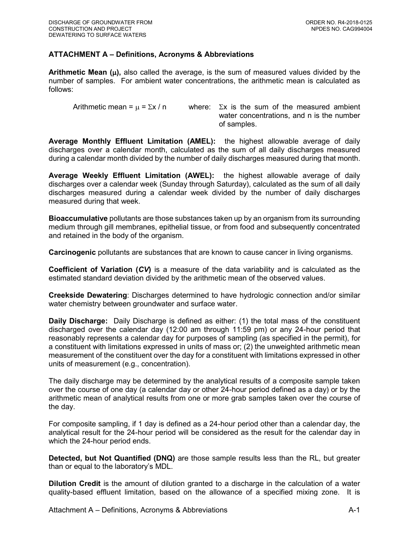## **ATTACHMENT A – Definitions, Acronyms & Abbreviations**

**Arithmetic Mean**  $(\mu)$ **, also called the average, is the sum of measured values divided by the** number of samples. For ambient water concentrations, the arithmetic mean is calculated as follows:

Arithmetic mean =  $\mu$  =  $\Sigma x / n$  where:  $\Sigma x$  is the sum of the measured ambient water concentrations, and n is the number of samples.

**Average Monthly Effluent Limitation (AMEL):** the highest allowable average of daily discharges over a calendar month, calculated as the sum of all daily discharges measured during a calendar month divided by the number of daily discharges measured during that month.

**Average Weekly Effluent Limitation (AWEL):** the highest allowable average of daily discharges over a calendar week (Sunday through Saturday), calculated as the sum of all daily discharges measured during a calendar week divided by the number of daily discharges measured during that week.

**Bioaccumulative** pollutants are those substances taken up by an organism from its surrounding medium through gill membranes, epithelial tissue, or from food and subsequently concentrated and retained in the body of the organism.

**Carcinogenic** pollutants are substances that are known to cause cancer in living organisms.

**Coefficient of Variation (***CV***)** is a measure of the data variability and is calculated as the estimated standard deviation divided by the arithmetic mean of the observed values.

**Creekside Dewatering**: Discharges determined to have hydrologic connection and/or similar water chemistry between groundwater and surface water.

**Daily Discharge:** Daily Discharge is defined as either: (1) the total mass of the constituent discharged over the calendar day (12:00 am through 11:59 pm) or any 24-hour period that reasonably represents a calendar day for purposes of sampling (as specified in the permit), for a constituent with limitations expressed in units of mass or; (2) the unweighted arithmetic mean measurement of the constituent over the day for a constituent with limitations expressed in other units of measurement (e.g., concentration).

The daily discharge may be determined by the analytical results of a composite sample taken over the course of one day (a calendar day or other 24-hour period defined as a day) or by the arithmetic mean of analytical results from one or more grab samples taken over the course of the day.

For composite sampling, if 1 day is defined as a 24-hour period other than a calendar day, the analytical result for the 24-hour period will be considered as the result for the calendar day in which the 24-hour period ends.

**Detected, but Not Quantified (DNQ)** are those sample results less than the RL, but greater than or equal to the laboratory's MDL.

**Dilution Credit** is the amount of dilution granted to a discharge in the calculation of a water quality-based effluent limitation, based on the allowance of a specified mixing zone. It is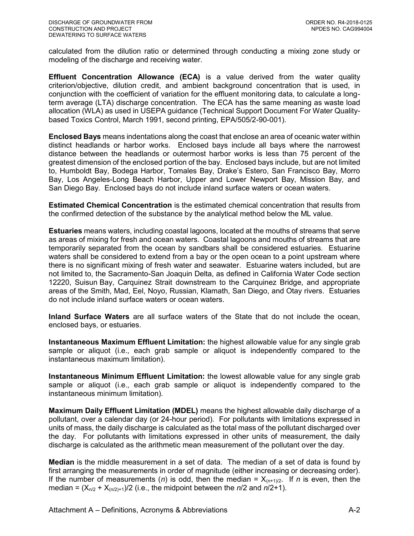calculated from the dilution ratio or determined through conducting a mixing zone study or modeling of the discharge and receiving water.

**Effluent Concentration Allowance (ECA)** is a value derived from the water quality criterion/objective, dilution credit, and ambient background concentration that is used, in conjunction with the coefficient of variation for the effluent monitoring data, to calculate a longterm average (LTA) discharge concentration. The ECA has the same meaning as waste load allocation (WLA) as used in USEPA guidance (Technical Support Document For Water Qualitybased Toxics Control, March 1991, second printing, EPA/505/2-90-001).

**Enclosed Bays** means indentations along the coast that enclose an area of oceanic water within distinct headlands or harbor works. Enclosed bays include all bays where the narrowest distance between the headlands or outermost harbor works is less than 75 percent of the greatest dimension of the enclosed portion of the bay. Enclosed bays include, but are not limited to, Humboldt Bay, Bodega Harbor, Tomales Bay, Drake's Estero, San Francisco Bay, Morro Bay, Los Angeles-Long Beach Harbor, Upper and Lower Newport Bay, Mission Bay, and San Diego Bay. Enclosed bays do not include inland surface waters or ocean waters.

**Estimated Chemical Concentration** is the estimated chemical concentration that results from the confirmed detection of the substance by the analytical method below the ML value.

**Estuaries** means waters, including coastal lagoons, located at the mouths of streams that serve as areas of mixing for fresh and ocean waters. Coastal lagoons and mouths of streams that are temporarily separated from the ocean by sandbars shall be considered estuaries. Estuarine waters shall be considered to extend from a bay or the open ocean to a point upstream where there is no significant mixing of fresh water and seawater. Estuarine waters included, but are not limited to, the Sacramento-San Joaquin Delta, as defined in California Water Code section 12220, Suisun Bay, Carquinez Strait downstream to the Carquinez Bridge, and appropriate areas of the Smith, Mad, Eel, Noyo, Russian, Klamath, San Diego, and Otay rivers. Estuaries do not include inland surface waters or ocean waters.

**Inland Surface Waters** are all surface waters of the State that do not include the ocean, enclosed bays, or estuaries.

**Instantaneous Maximum Effluent Limitation:** the highest allowable value for any single grab sample or aliquot (i.e., each grab sample or aliquot is independently compared to the instantaneous maximum limitation).

**Instantaneous Minimum Effluent Limitation:** the lowest allowable value for any single grab sample or aliquot (i.e., each grab sample or aliquot is independently compared to the instantaneous minimum limitation).

**Maximum Daily Effluent Limitation (MDEL)** means the highest allowable daily discharge of a pollutant, over a calendar day (or 24-hour period). For pollutants with limitations expressed in units of mass, the daily discharge is calculated as the total mass of the pollutant discharged over the day. For pollutants with limitations expressed in other units of measurement, the daily discharge is calculated as the arithmetic mean measurement of the pollutant over the day.

**Median** is the middle measurement in a set of data. The median of a set of data is found by first arranging the measurements in order of magnitude (either increasing or decreasing order). If the number of measurements (*n*) is odd, then the median =  $X_{(n+1)/2}$ . If *n* is even, then the median =  $(X_{n/2} + X_{(n/2)+1})/2$  (i.e., the midpoint between the  $n/2$  and  $n/2+1$ ).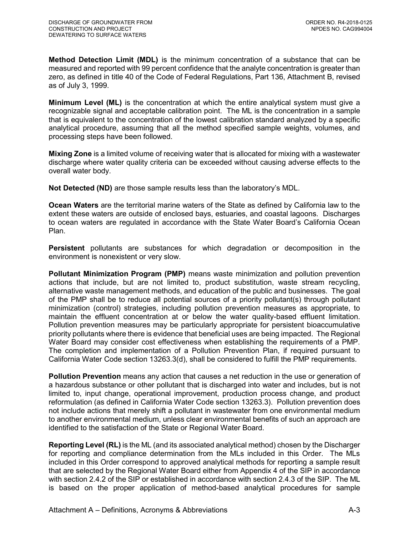**Method Detection Limit (MDL)** is the minimum concentration of a substance that can be measured and reported with 99 percent confidence that the analyte concentration is greater than zero, as defined in title 40 of the Code of Federal Regulations, Part 136, Attachment B, revised as of July 3, 1999.

**Minimum Level (ML)** is the concentration at which the entire analytical system must give a recognizable signal and acceptable calibration point. The ML is the concentration in a sample that is equivalent to the concentration of the lowest calibration standard analyzed by a specific analytical procedure, assuming that all the method specified sample weights, volumes, and processing steps have been followed.

**Mixing Zone** is a limited volume of receiving water that is allocated for mixing with a wastewater discharge where water quality criteria can be exceeded without causing adverse effects to the overall water body.

**Not Detected (ND)** are those sample results less than the laboratory's MDL.

**Ocean Waters** are the territorial marine waters of the State as defined by California law to the extent these waters are outside of enclosed bays, estuaries, and coastal lagoons. Discharges to ocean waters are regulated in accordance with the State Water Board's California Ocean Plan.

**Persistent** pollutants are substances for which degradation or decomposition in the environment is nonexistent or very slow.

**Pollutant Minimization Program (PMP)** means waste minimization and pollution prevention actions that include, but are not limited to, product substitution, waste stream recycling, alternative waste management methods, and education of the public and businesses. The goal of the PMP shall be to reduce all potential sources of a priority pollutant(s) through pollutant minimization (control) strategies, including pollution prevention measures as appropriate, to maintain the effluent concentration at or below the water quality-based effluent limitation. Pollution prevention measures may be particularly appropriate for persistent bioaccumulative priority pollutants where there is evidence that beneficial uses are being impacted. The Regional Water Board may consider cost effectiveness when establishing the requirements of a PMP. The completion and implementation of a Pollution Prevention Plan, if required pursuant to California Water Code section 13263.3(d), shall be considered to fulfill the PMP requirements.

**Pollution Prevention** means any action that causes a net reduction in the use or generation of a hazardous substance or other pollutant that is discharged into water and includes, but is not limited to, input change, operational improvement, production process change, and product reformulation (as defined in California Water Code section 13263.3). Pollution prevention does not include actions that merely shift a pollutant in wastewater from one environmental medium to another environmental medium, unless clear environmental benefits of such an approach are identified to the satisfaction of the State or Regional Water Board.

**Reporting Level (RL)** is the ML (and its associated analytical method) chosen by the Discharger for reporting and compliance determination from the MLs included in this Order. The MLs included in this Order correspond to approved analytical methods for reporting a sample result that are selected by the Regional Water Board either from Appendix 4 of the SIP in accordance with section 2.4.2 of the SIP or established in accordance with section 2.4.3 of the SIP. The ML is based on the proper application of method-based analytical procedures for sample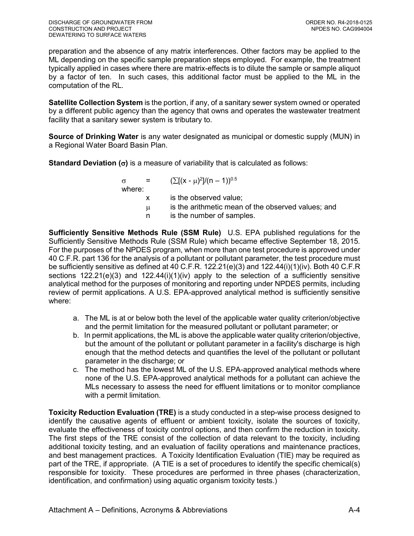preparation and the absence of any matrix interferences. Other factors may be applied to the ML depending on the specific sample preparation steps employed. For example, the treatment typically applied in cases where there are matrix-effects is to dilute the sample or sample aliquot by a factor of ten. In such cases, this additional factor must be applied to the ML in the computation of the RL.

**Satellite Collection System** is the portion, if any, of a sanitary sewer system owned or operated by a different public agency than the agency that owns and operates the wastewater treatment facility that a sanitary sewer system is tributary to.

**Source of Drinking Water** is any water designated as municipal or domestic supply (MUN) in a Regional Water Board Basin Plan.

**Standard Deviation (** $\sigma$ **)** is a measure of variability that is calculated as follows:

| $\sigma$ | a material | $(\sum [(x - \mu)^2]/(n - 1))^{0.5}$               |
|----------|------------|----------------------------------------------------|
| where:   |            |                                                    |
|          | X.         | is the observed value;                             |
|          | μ          | is the arithmetic mean of the observed values; and |
|          | n          | is the number of samples.                          |

**Sufficiently Sensitive Methods Rule (SSM Rule)** U.S. EPA published regulations for the Sufficiently Sensitive Methods Rule (SSM Rule) which became effective September 18, 2015. For the purposes of the NPDES program, when more than one test procedure is approved under 40 C.F.R. part 136 for the analysis of a pollutant or pollutant parameter, the test procedure must be sufficiently sensitive as defined at 40 C.F.R. 122.21(e)(3) and 122.44(i)(1)(iv). Both 40 C.F.R sections 122.21(e)(3) and 122.44(i)(1)(iv) apply to the selection of a sufficiently sensitive analytical method for the purposes of monitoring and reporting under NPDES permits, including review of permit applications. A U.S. EPA-approved analytical method is sufficiently sensitive where:

- a. The ML is at or below both the level of the applicable water quality criterion/objective and the permit limitation for the measured pollutant or pollutant parameter; or
- b. In permit applications, the ML is above the applicable water quality criterion/objective, but the amount of the pollutant or pollutant parameter in a facility's discharge is high enough that the method detects and quantifies the level of the pollutant or pollutant parameter in the discharge; or
- c. The method has the lowest ML of the U.S. EPA-approved analytical methods where none of the U.S. EPA-approved analytical methods for a pollutant can achieve the MLs necessary to assess the need for effluent limitations or to monitor compliance with a permit limitation.

**Toxicity Reduction Evaluation (TRE)** is a study conducted in a step-wise process designed to identify the causative agents of effluent or ambient toxicity, isolate the sources of toxicity, evaluate the effectiveness of toxicity control options, and then confirm the reduction in toxicity. The first steps of the TRE consist of the collection of data relevant to the toxicity, including additional toxicity testing, and an evaluation of facility operations and maintenance practices, and best management practices. A Toxicity Identification Evaluation (TIE) may be required as part of the TRE, if appropriate. (A TIE is a set of procedures to identify the specific chemical(s) responsible for toxicity. These procedures are performed in three phases (characterization, identification, and confirmation) using aquatic organism toxicity tests.)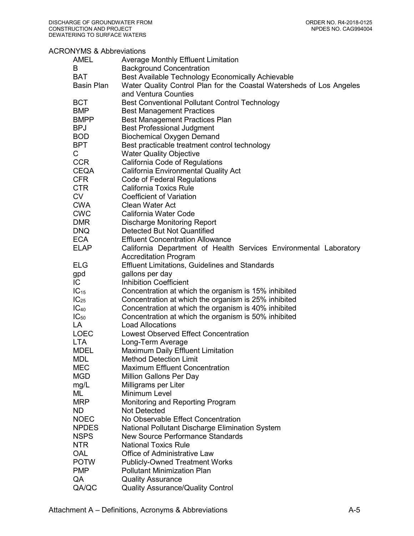## ACRONYMS & Abbreviations

| AMEL              | Average Monthly Effluent Limitation                                  |
|-------------------|----------------------------------------------------------------------|
| B                 | <b>Background Concentration</b>                                      |
| <b>BAT</b>        | Best Available Technology Economically Achievable                    |
| <b>Basin Plan</b> | Water Quality Control Plan for the Coastal Watersheds of Los Angeles |
|                   | and Ventura Counties                                                 |
| <b>BCT</b>        | Best Conventional Pollutant Control Technology                       |
| <b>BMP</b>        |                                                                      |
|                   | <b>Best Management Practices</b>                                     |
| <b>BMPP</b>       | <b>Best Management Practices Plan</b>                                |
| <b>BPJ</b>        | <b>Best Professional Judgment</b>                                    |
| <b>BOD</b>        | <b>Biochemical Oxygen Demand</b>                                     |
| <b>BPT</b>        | Best practicable treatment control technology                        |
| C                 | <b>Water Quality Objective</b>                                       |
| <b>CCR</b>        | California Code of Regulations                                       |
| <b>CEQA</b>       | <b>California Environmental Quality Act</b>                          |
| <b>CFR</b>        | Code of Federal Regulations                                          |
| <b>CTR</b>        | <b>California Toxics Rule</b>                                        |
| <b>CV</b>         | <b>Coefficient of Variation</b>                                      |
| <b>CWA</b>        | <b>Clean Water Act</b>                                               |
| <b>CWC</b>        | California Water Code                                                |
|                   |                                                                      |
| <b>DMR</b>        | <b>Discharge Monitoring Report</b>                                   |
| <b>DNQ</b>        | Detected But Not Quantified                                          |
| <b>ECA</b>        | <b>Effluent Concentration Allowance</b>                              |
| <b>ELAP</b>       | California Department of Health Services Environmental Laboratory    |
|                   | <b>Accreditation Program</b>                                         |
| ELG               | <b>Effluent Limitations, Guidelines and Standards</b>                |
| gpd               | gallons per day                                                      |
| IC                | <b>Inhibition Coefficient</b>                                        |
| $IC_{15}$         | Concentration at which the organism is 15% inhibited                 |
| $IC_{25}$         | Concentration at which the organism is 25% inhibited                 |
| $IC_{40}$         | Concentration at which the organism is 40% inhibited                 |
| $IC_{50}$         | Concentration at which the organism is 50% inhibited                 |
| LA                | <b>Load Allocations</b>                                              |
| <b>LOEC</b>       | <b>Lowest Observed Effect Concentration</b>                          |
| <b>LTA</b>        |                                                                      |
|                   | Long-Term Average                                                    |
| <b>MDEL</b>       | <b>Maximum Daily Effluent Limitation</b>                             |
| MDL               | Method Detection Limit                                               |
| MEC               | <b>Maximum Effluent Concentration</b>                                |
| <b>MGD</b>        | Million Gallons Per Day                                              |
| mg/L              | Milligrams per Liter                                                 |
| ML                | Minimum Level                                                        |
| <b>MRP</b>        | Monitoring and Reporting Program                                     |
| ND                | Not Detected                                                         |
| <b>NOEC</b>       | No Observable Effect Concentration                                   |
| <b>NPDES</b>      | National Pollutant Discharge Elimination System                      |
| <b>NSPS</b>       | <b>New Source Performance Standards</b>                              |
| <b>NTR</b>        | <b>National Toxics Rule</b>                                          |
| OAL               | <b>Office of Administrative Law</b>                                  |
| <b>POTW</b>       | <b>Publicly-Owned Treatment Works</b>                                |
| <b>PMP</b>        | <b>Pollutant Minimization Plan</b>                                   |
| QA                | <b>Quality Assurance</b>                                             |
|                   |                                                                      |
| QA/QC             | <b>Quality Assurance/Quality Control</b>                             |